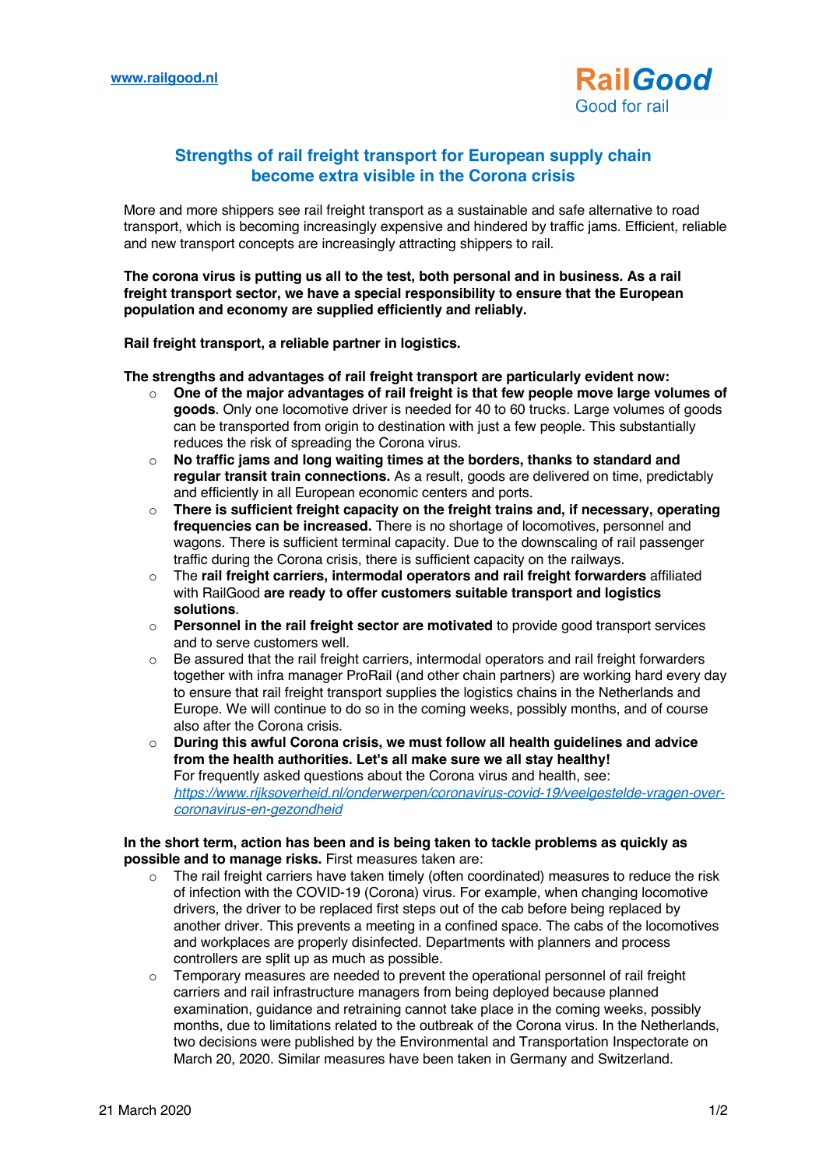

## **Strengths of rail freight transport for European supply chain become extra visible in the Corona crisis**

 More and more shippers see rail freight transport as a sustainable and safe alternative to road transport, which is becoming increasingly expensive and hindered by traffic jams. Efficient, reliable and new transport concepts are increasingly attracting shippers to rail.

 **The corona virus is putting us all to the test, both personal and in business. As a rail freight transport sector, we have a special responsibility to ensure that the European population and economy are supplied efficiently and reliably.**

**Rail freight transport, a reliable partner in logistics.**

**The strengths and advantages of rail freight transport are particularly evident now:**

- o **One of the major advantages of rail freight is that few people move large volumes of goods**. Only one locomotive driver is needed for 40 to 60 trucks. Large volumes of goods can be transported from origin to destination with just a few people. This substantially reduces the risk of spreading the Corona virus.
- o **No traffic jams and long waiting times at the borders, thanks to standard and regular transit train connections.** As a result, goods are delivered on time, predictably and efficiently in all European economic centers and ports.
- o **There is sufficient freight capacity on the freight trains and, if necessary, operating frequencies can be increased.** There is no shortage of locomotives, personnel and wagons. There is sufficient terminal capacity. Due to the downscaling of rail passenger traffic during the Corona crisis, there is sufficient capacity on the railways.
- o The **rail freight carriers, intermodal operators and rail freight forwarders** affiliated with RailGood **are ready to offer customers suitable transport and logistics solutions**.
- o **Personnel in the rail freight sector are motivated** to provide good transport services and to serve customers well.
- o Be assured that the rail freight carriers, intermodal operators and rail freight forwarders together with infra manager ProRail (and other chain partners) are working hard every day to ensure that rail freight transport supplies the logistics chains in the Netherlands and Europe. We will continue to do so in the coming weeks, possibly months, and of course also after the Corona crisis.
- o **During this awful Corona crisis, we must follow all health guidelines and advice from the health authorities. Let's all make sure we all stay healthy!** For frequently asked questions about the Corona virus and health, see: *https://www.rijksoverheid.nl/onderwerpen/coronavirus-covid-19/veelgestelde-vragen-overcoronavirus-en-gezondheid*

## **In the short term, action has been and is being taken to tackle problems as quickly as possible and to manage risks.** First measures taken are:

- $\circ$  The rail freight carriers have taken timely (often coordinated) measures to reduce the risk of infection with the COVID-19 (Corona) virus. For example, when changing locomotive drivers, the driver to be replaced first steps out of the cab before being replaced by another driver. This prevents a meeting in a confined space. The cabs of the locomotives and workplaces are properly disinfected. Departments with planners and process controllers are split up as much as possible.
- $\circ$  Temporary measures are needed to prevent the operational personnel of rail freight carriers and rail infrastructure managers from being deployed because planned examination, guidance and retraining cannot take place in the coming weeks, possibly months, due to limitations related to the outbreak of the Corona virus. In the Netherlands, two decisions were published by the Environmental and Transportation Inspectorate on March 20, 2020. Similar measures have been taken in Germany and Switzerland.